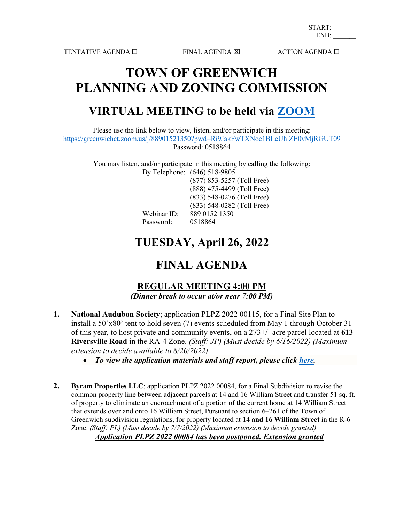TENTATIVE AGENDA  $\square$  FINAL AGENDA  $\square$  ACTION AGENDA  $\square$ 

# **TOWN OF GREENWICH PLANNING AND ZONING COMMISSION**

# **VIRTUAL MEETING to be held via [ZOOM](https://zoom.us/)**

Please use the link below to view, listen, and/or participate in this meeting: <https://greenwichct.zoom.us/j/88901521350?pwd=Ri9JakFwTXNoc1BLeUhlZE0vMjRGUT09>

Password: 0518864

You may listen, and/or participate in this meeting by calling the following: By Telephone: (646) 518-9805

> (877) 853-5257 (Toll Free) (888) 475-4499 (Toll Free) Webinar ID: 889 0152 1350

Password: 0518864

(833) 548-0276 (Toll Free) (833) 548-0282 (Toll Free)

# **TUESDAY, April 26, 2022**

# **FINAL AGENDA**

## **REGULAR MEETING 4:00 PM** *(Dinner break to occur at/or near 7:00 PM)*

- **1. National Audubon Society**; application PLPZ 2022 00115, for a Final Site Plan to install a 50'x80' tent to hold seven (7) events scheduled from May 1 through October 31 of this year, to host private and community events, on a 273+/- acre parcel located at **613 Riversville Road** in the RA-4 Zone. *(Staff: JP) (Must decide by 6/16/2022) (Maximum extension to decide available to 8/20/2022)* 
	- *To view the application materials and staff report, please click [here.](https://www.greenwichct.gov/DocumentCenter/View/30695/FSP_613-Riversville-Road_PLPZ-2022-00115---Staff-Report)*
- **2. Byram Properties LLC**; application PLPZ 2022 00084, for a Final Subdivision to revise the common property line between adjacent parcels at 14 and 16 William Street and transfer 51 sq. ft. of property to eliminate an encroachment of a portion of the current home at 14 William Street that extends over and onto 16 William Street, Pursuant to section 6–261 of the Town of Greenwich subdivision regulations, for property located at **14 and 16 William Street** in the R-6 Zone. *(Staff: PL) (Must decide by 7/7/2022) (Maximum extension to decide granted) Application PLPZ 2022 00084 has been postponed. Extension granted*

START: END: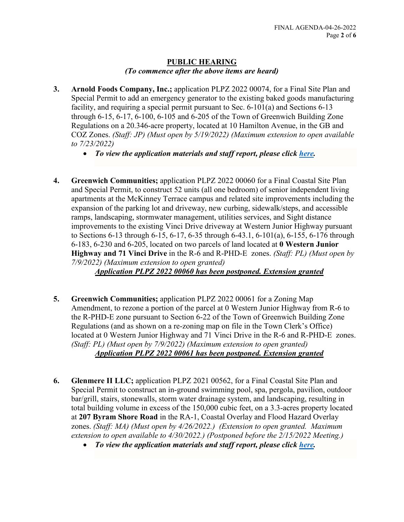#### **PUBLIC HEARING** *(To commence after the above items are heard)*

- **3. Arnold Foods Company, Inc.;** application PLPZ 2022 00074, for a Final Site Plan and Special Permit to add an emergency generator to the existing baked goods manufacturing facility, and requiring a special permit pursuant to Sec. 6-101(a) and Sections 6-13 through 6-15, 6-17, 6-100, 6-105 and 6-205 of the Town of Greenwich Building Zone Regulations on a 20.346-acre property, located at 10 Hamilton Avenue, in the GB and COZ Zones. *(Staff: JP) (Must open by 5/19/2022) (Maximum extension to open available to 7/23/2022)*
	- *To view the application materials and staff report, please click [here.](https://www.greenwichct.gov/DocumentCenter/View/30699/FSP-SP_10-Hamilton-Ave_PLPZ-2022-00074---Staff-Report_)*
- **4. Greenwich Communities;** application PLPZ 2022 00060 for a Final Coastal Site Plan and Special Permit, to construct 52 units (all one bedroom) of senior independent living apartments at the McKinney Terrace campus and related site improvements including the expansion of the parking lot and driveway, new curbing, sidewalk/steps, and accessible ramps, landscaping, stormwater management, utilities services, and Sight distance improvements to the existing Vinci Drive driveway at Western Junior Highway pursuant to Sections 6-13 through 6-15, 6-17, 6-35 through 6-43.1, 6-101(a), 6-155, 6-176 through 6-183, 6-230 and 6-205, located on two parcels of land located at **0 Western Junior Highway and 71 Vinci Drive** in the R-6 and R-PHD-E zones. *(Staff: PL) (Must open by 7/9/2022) (Maximum extension to open granted)*

*Application PLPZ 2022 00060 has been postponed. Extension granted*

- **5. Greenwich Communities;** application PLPZ 2022 00061 for a Zoning Map Amendment, to rezone a portion of the parcel at 0 Western Junior Highway from R-6 to the R-PHD-E zone pursuant to Section 6-22 of the Town of Greenwich Building Zone Regulations (and as shown on a re-zoning map on file in the Town Clerk's Office) located at 0 Western Junior Highway and 71 Vinci Drive in the R-6 and R-PHD-E zones. *(Staff: PL) (Must open by 7/9/2022) (Maximum extension to open granted) Application PLPZ 2022 00061 has been postponed. Extension granted*
- **6. Glenmere II LLC;** application PLPZ 2021 00562, for a Final Coastal Site Plan and Special Permit to construct an in-ground swimming pool, spa, pergola, pavilion, outdoor bar/grill, stairs, stonewalls, storm water drainage system, and landscaping, resulting in total building volume in excess of the 150,000 cubic feet, on a 3.3-acres property located at **207 Byram Shore Road** in the RA-1, Coastal Overlay and Flood Hazard Overlay zones. *(Staff: MA) (Must open by 4/26/2022.) (Extension to open granted. Maximum extension to open available to 4/30/2022.) (Postponed before the 2/15/2022 Meeting.)*
	- *To view the application materials and staff report, please click [here.](https://www.greenwichct.gov/DocumentCenter/View/30692/staff-report-207-Byram-Shore-Road-PLPZ202100562-FSPC-SPEC-rdx)*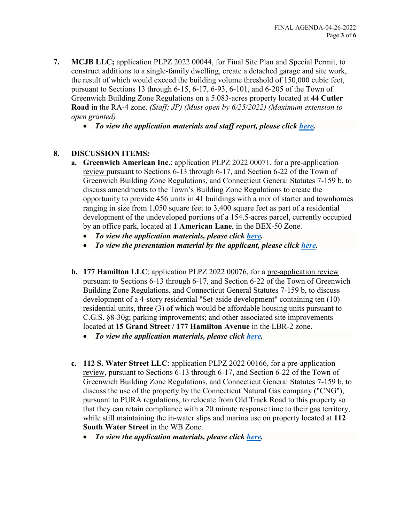- **7. MCJB LLC;** application PLPZ 2022 00044, for Final Site Plan and Special Permit, to construct additions to a single-family dwelling, create a detached garage and site work, the result of which would exceed the building volume threshold of 150,000 cubic feet, pursuant to Sections 13 through 6-15, 6-17, 6-93, 6-101, and 6-205 of the Town of Greenwich Building Zone Regulations on a 5.083-acres property located at **44 Cutler Road** in the RA-4 zone. *(Staff: JP) (Must open by 6/25/2022) (Maximum extension to open granted)*
	- *To view the application materials and staff report, please click [here.](https://www.greenwichct.gov/DocumentCenter/View/30704/FSP_SP_44-Culter-Road_PLPZ-2022-00044---Staff-Report)*

### **8. DISCUSSION ITEMS***:*

- **a. Greenwich American Inc**.; application PLPZ 2022 00071, for a pre-application review pursuant to Sections 6-13 through 6-17, and Section 6-22 of the Town of Greenwich Building Zone Regulations, and Connecticut General Statutes 7-159 b, to discuss amendments to the Town's Building Zone Regulations to create the opportunity to provide 456 units in 41 buildings with a mix of starter and townhomes ranging in size from 1,050 square feet to 3,400 square feet as part of a residential development of the undeveloped portions of a 154.5-acres parcel, currently occupied by an office park, located at **1 American Lane**, in the BEX-50 Zone.
	- *To view the application materials, please click [here.](https://www.greenwichct.gov/DocumentCenter/View/30691/1-American-Lane-Preapp)*
	- *To view the presentation material by the applicant, please click [here.](https://www.greenwichct.gov/DocumentCenter/View/30706/1-American-Lane-Presentation-04-26-2022)*
- **b. 177 Hamilton LLC**; application PLPZ 2022 00076, for a pre-application review pursuant to Sections 6-13 through 6-17, and Section 6-22 of the Town of Greenwich Building Zone Regulations, and Connecticut General Statutes 7-159 b, to discuss development of a 4-story residential "Set-aside development" containing ten (10) residential units, three (3) of which would be affordable housing units pursuant to C.G.S. §8-30g; parking improvements; and other associated site improvements located at **15 Grand Street / 177 Hamilton Avenue** in the LBR-2 zone.
	- *To view the application materials, please click [here.](https://www.greenwichct.gov/DocumentCenter/View/30693/15-Grand-Street-and-177-Hamilton-Avenue-Pre-app)*
- **c. 112 S. Water Street LLC**: application PLPZ 2022 00166, for a pre-application review, pursuant to Sections 6-13 through 6-17, and Section 6-22 of the Town of Greenwich Building Zone Regulations, and Connecticut General Statutes 7-159 b, to discuss the use of the property by the Connecticut Natural Gas company ("CNG"), pursuant to PURA regulations, to relocate from Old Track Road to this property so that they can retain compliance with a 20 minute response time to their gas territory, while still maintaining the in-water slips and marina use on property located at **112 South Water Street** in the WB Zone.
	- *To view the application materials, please click [here.](https://www.greenwichct.gov/DocumentCenter/View/30694/112-S-Water-Street-preapp)*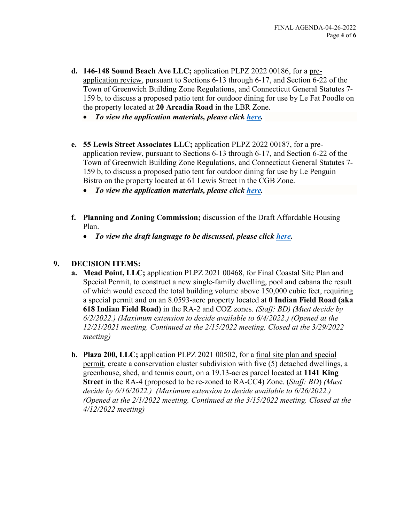- **d. 146-148 Sound Beach Ave LLC;** application PLPZ 2022 00186, for a preapplication review, pursuant to Sections 6-13 through 6-17, and Section 6-22 of the Town of Greenwich Building Zone Regulations, and Connecticut General Statutes 7- 159 b, to discuss a proposed patio tent for outdoor dining for use by Le Fat Poodle on the property located at **20 Arcadia Road** in the LBR Zone.
	- *To view the application materials, please click [here.](https://www.greenwichct.gov/DocumentCenter/View/30697/le-fat-poodle-Patio-tent-application-Complete-2022)*
- **e. 55 Lewis Street Associates LLC;** application PLPZ 2022 00187, for a preapplication review, pursuant to Sections 6-13 through 6-17, and Section 6-22 of the Town of Greenwich Building Zone Regulations, and Connecticut General Statutes 7- 159 b, to discuss a proposed patio tent for outdoor dining for use by Le Penguin Bistro on the property located at 61 Lewis Street in the CGB Zone.
	- *To view the application materials, please click [here.](https://www.greenwichct.gov/DocumentCenter/View/30698/le-penguin-Patio-tent-renewal-2022-Complete)*
- **f. Planning and Zoning Commission;** discussion of the Draft Affordable Housing Plan.
	- *To view the draft language to be discussed, please click [here.](https://www.greenwichct.gov/DocumentCenter/View/30609/Town-of-Greenwich-Affordable-Housing-Plan---June-2022---Version-11)*

#### **9. DECISION ITEMS:**

- **a. Mead Point, LLC;** application PLPZ 2021 00468, for Final Coastal Site Plan and Special Permit, to construct a new single-family dwelling, pool and cabana the result of which would exceed the total building volume above 150,000 cubic feet, requiring a special permit and on an 8.0593-acre property located at **0 Indian Field Road (aka 618 Indian Field Road)** in the RA-2 and COZ zones. *(Staff: BD) (Must decide by 6/2/2022.) (Maximum extension to decide available to 6/4/2022.) (Opened at the 12/21/2021 meeting. Continued at the 2/15/2022 meeting. Closed at the 3/29/2022 meeting)*
- **b. Plaza 200, LLC;** application PLPZ 2021 00502, for a final site plan and special permit, create a conservation cluster subdivision with five (5) detached dwellings, a greenhouse, shed, and tennis court, on a 19.13-acres parcel located at **1141 King Street** in the RA-4 (proposed to be re-zoned to RA-CC4) Zone. (*Staff: BD*) *(Must decide by 6/16/2022.) (Maximum extension to decide available to 6/26/2022.) (Opened at the 2/1/2022 meeting. Continued at the 3/15/2022 meeting. Closed at the 4/12/2022 meeting)*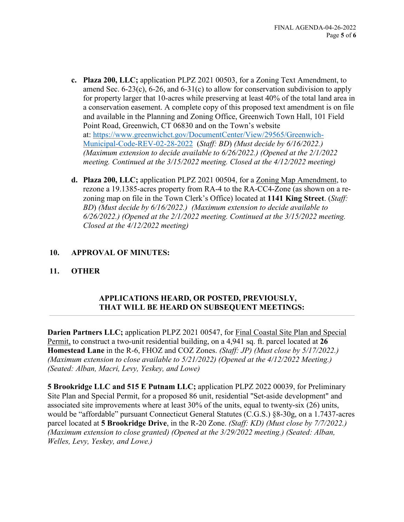- **c. Plaza 200, LLC;** application PLPZ 2021 00503, for a Zoning Text Amendment, to amend Sec.  $6-23(c)$ ,  $6-26$ , and  $6-31(c)$  to allow for conservation subdivision to apply for property larger that 10-acres while preserving at least 40% of the total land area in a conservation easement. A complete copy of this proposed text amendment is on file and available in the Planning and Zoning Office, Greenwich Town Hall, 101 Field Point Road, Greenwich, CT 06830 and on the Town's website at: [https://www.greenwichct.gov/DocumentCenter/View/29565/Greenwich-](https://www.greenwichct.gov/DocumentCenter/View/29565/Greenwich-Municipal-Code-REV-02-28-2022)[Municipal-Code-REV-02-28-2022](https://www.greenwichct.gov/DocumentCenter/View/29565/Greenwich-Municipal-Code-REV-02-28-2022) (*Staff: BD*) *(Must decide by 6/16/2022.) (Maximum extension to decide available to 6/26/2022.) (Opened at the 2/1/2022 meeting. Continued at the 3/15/2022 meeting. Closed at the 4/12/2022 meeting)*
- **d. Plaza 200, LLC;** application PLPZ 2021 00504, for a Zoning Map Amendment, to rezone a 19.1385-acres property from RA-4 to the RA-CC4-Zone (as shown on a rezoning map on file in the Town Clerk's Office) located at **1141 King Street**. (*Staff: BD*) *(Must decide by 6/16/2022.) (Maximum extension to decide available to 6/26/2022.) (Opened at the 2/1/2022 meeting. Continued at the 3/15/2022 meeting. Closed at the 4/12/2022 meeting)*

### **10. APPROVAL OF MINUTES:**

**11. OTHER**

## **APPLICATIONS HEARD, OR POSTED, PREVIOUSLY, THAT WILL BE HEARD ON SUBSEQUENT MEETINGS:**

**Darien Partners LLC;** application PLPZ 2021 00547, for Final Coastal Site Plan and Special Permit, to construct a two-unit residential building, on a 4,941 sq. ft. parcel located at **26 Homestead Lane** in the R-6, FHOZ and COZ Zones. *(Staff: JP) (Must close by 5/17/2022.) (Maximum extension to close available to 5/21/2022) (Opened at the 4/12/2022 Meeting.) (Seated: Alban, Macri, Levy, Yeskey, and Lowe)*

**5 Brookridge LLC and 515 E Putnam LLC;** application PLPZ 2022 00039, for Preliminary Site Plan and Special Permit, for a proposed 86 unit, residential "Set-aside development" and associated site improvements where at least 30% of the units, equal to twenty-six (26) units, would be "affordable" pursuant Connecticut General Statutes (C.G.S.) §8-30g, on a 1.7437-acres parcel located at **5 Brookridge Drive**, in the R-20 Zone. *(Staff: KD) (Must close by 7/7/2022.) (Maximum extension to close granted) (Opened at the 3/29/2022 meeting.) (Seated: Alban, Welles, Levy, Yeskey, and Lowe.)*